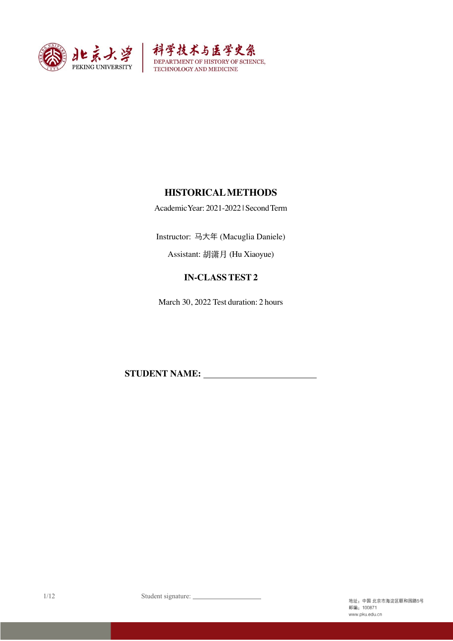



TECHNOLOGY AND MEDICINE

# **HISTORICALMETHODS**

AcademicYear: 2021-2022 | SecondTerm

Instructor: ⻢大年 (Macuglia Daniele)

Assistant: 胡潇⽉ (Hu Xiaoyue)

# **IN-CLASS TEST 2**

March 30, 2022 Test duration: 2 hours

**STUDENT NAME:**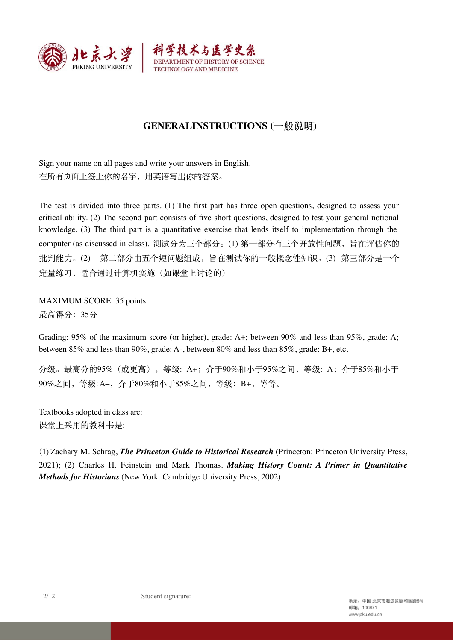



TECHNOLOGY AND MEDICINE

Sign your name on all pages and write your answers in English. 在所有页面上签上你的名字,用英语写出你的答案。

The test is divided into three parts. (1) The first part has three open questions, designed to assess your critical ability. (2) The second part consists of five short questions, designed to test your general notional knowledge. (3) The third part is a quantitative exercise that lends itself to implementation through the computer (as discussed in class). 测试分为三个部分。(1) 第一部分有三个开放性问题, 旨在评估你的 批判能力。(2) 第二部分由五个短问题组成,旨在测试你的一般概念性知识。(3) 第三部分是一个 定量练习,适合通过计算机实施(如课堂上讨论的)

MAXIMUM SCORE: 35 points 最高得分: 35分

Grading: 95% of the maximum score (or higher), grade: A+; between 90% and less than 95%, grade: A; between 85% and less than 90%, grade: A-, between 80% and less than 85%, grade: B+, etc.

分级。最高分的95%(或更高),等级: A+; 介于90%和小于95%之间,等级: A; 介于85%和小于 90%之间,等级: A–,介于80%和⼩于85%之间,等级:B+,等等。

Textbooks adopted in class are: 课堂上采用的教科书是:

(1) Zachary M. Schrag, *The Princeton Guide to Historical Research* (Princeton: Princeton University Press, 2021); (2) Charles H. Feinstein and Mark Thomas. *Making History Count: A Primer in Quantitative Methods for Historians* (New York: Cambridge University Press, 2002).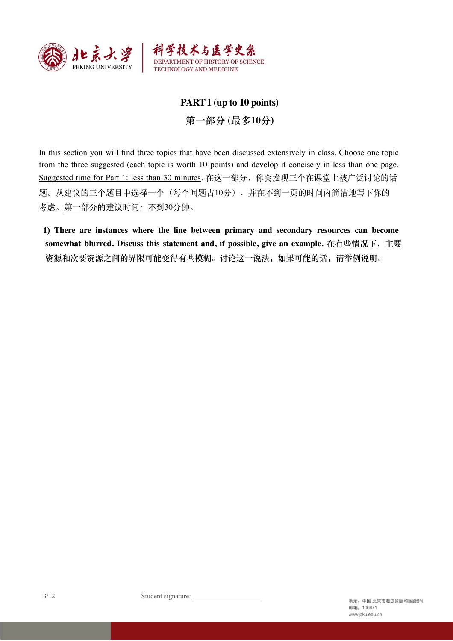



### **PART1 (up to 10 points)**

**第⼀部分 (最多10分)**

In this section you will find three topics that have been discussed extensively in class. Choose one topic from the three suggested (each topic is worth 10 points) and develop it concisely in less than one page. Suggested time for Part 1: less than 30 minutes. 在这一部分, 你会发现三个在课堂上被广泛讨论的话 题。从建议的三个题目中选择一个(每个问题占10分)、并在不到一页的时间内简洁地写下你的 考虑。第⼀部分的建议时间:不到30分钟。

**1) There are instances where the line between primary and secondary resources can become somewhat blurred. Discuss this statement and, if possible, give an example. 在有些情况下,主要 资源和次要资源之间的界限可能变得有些模糊。讨论这⼀说法,如果可能的话,请举例说明。**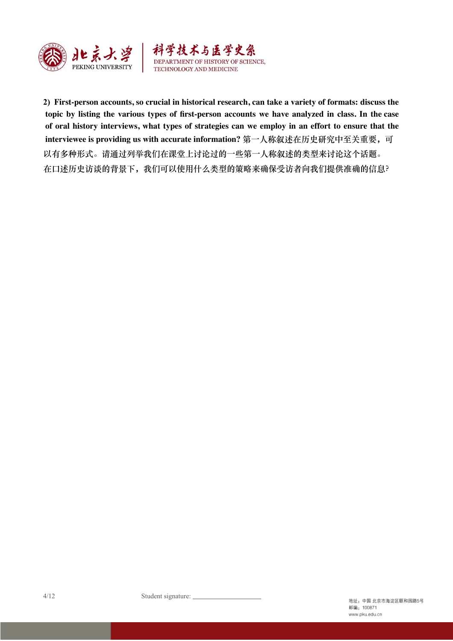

科学



技术与医学史条 DEPARTMENT OF HISTORY OF SCIENCE.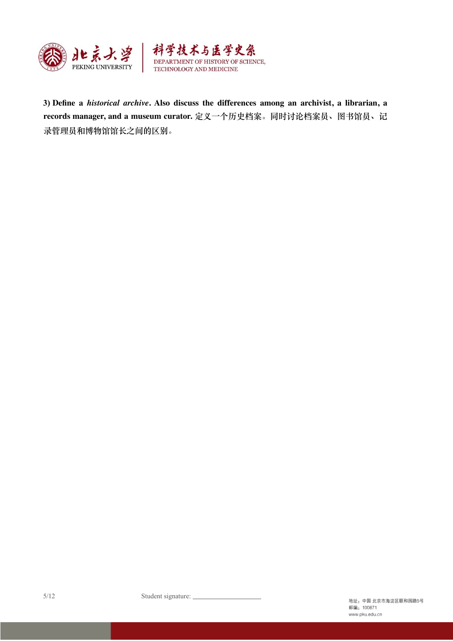

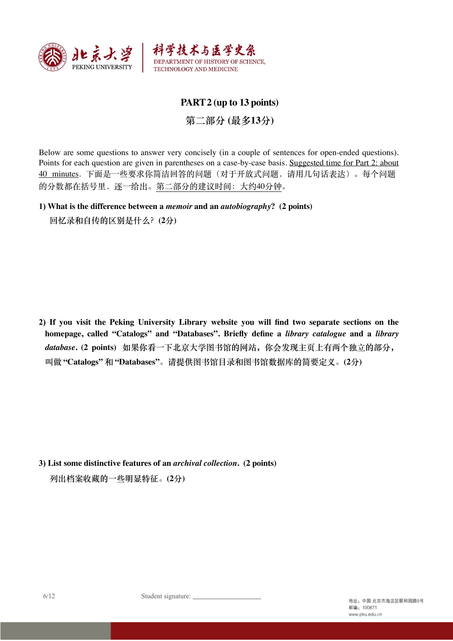



# **PART2 (up to 13 points)**

**第⼆部分 (最多13分)**

Below are some questions to answer very concisely (in a couple of sentences for open-ended questions). Points for each question are given in parentheses on a case-by-case basis. Suggested time for Part 2: about 40 minutes. 下面是一些要求你简洁回答的问题(对于开放式问题,请用几句话表达)。每个问题 的分数都在括号里,逐一给出。第二部分的建议时间:大约40分钟。

**1) What is the difference between a** *memoir* **and an** *autobiography***? (2 points) 回忆录和⾃传的区别是什么?(2分)**

**2) If you visit the Peking University Library website you will find two separate sections on the homepage, called "Catalogs" and "Databases". Briefly define a** *library catalogue* **and a** *library database***. (2 points) 如果你看⼀下北京⼤学图书馆的⽹站,你会发现主页上有两个独⽴的部分, 叫做 "Catalogs" 和 "Databases"。请提供图书馆⽬录和图书馆数据库的简要定义。(2分)**

**3) List some distinctive features of an** *archival collection***. (2 points)**

**列出档案收藏的⼀些明显特征。(2分)**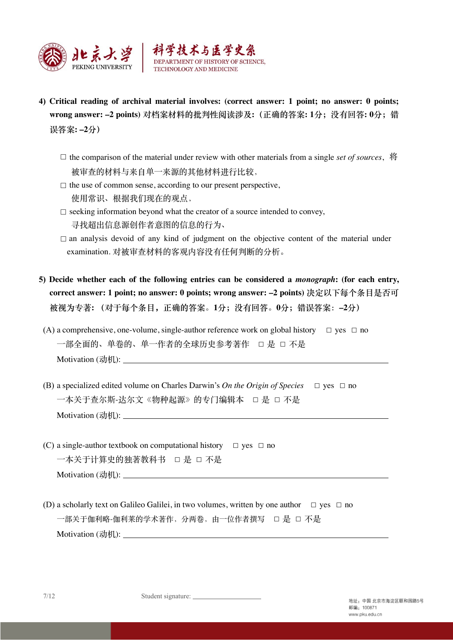



- □ the comparison of the material under review with other materials from a single *set* of *sources*, 将 被审查的材料与来自单一来源的其他材料进行比较,
- $\Box$  the use of common sense, according to our present perspective,
	- 使用常识、根据我们现在的观点,
- $\Box$  seeking information beyond what the creator of a source intended to convey, 寻找超出信息源创作者意图的信息的行为、
- $\Box$  an analysis devoid of any kind of judgment on the objective content of the material under examination. 对被审查材料的客观内容没有任何判断的分析。
- **5) Decide whether each of the following entries can be considered a** *monograph***: (for each entry, correct answer: 1 point; no answer: 0 points; wrong answer: –2 points) 决定以下每个条⽬是否可 被视为专著: (对于每个条⽬,正确的答案。1分;没有回答。0分;错误答案:–2分)**
- (A) a comprehensive, one-volume, single-author reference work on global history  $\Box$  yes  $\Box$  no 一部全面的、单卷的、单一作者的全球历史参考著作 □ 是 □ 不是 Motivation (动机): \_\_\_\_\_\_\_
- (B) a specialized edited volume on Charles Darwin's *On the Origin of Species*  $\Box$  yes  $\Box$  no 一本关于查尔斯-达尔文《物种起源》的专门编辑本 □ 是 □ 不是 Motivation (动机): \_\_\_\_\_\_\_\_\_\_\_
- (C) a single-author textbook on computational history  $\Box$  yes  $\Box$  no ⼀本关于计算史的独著教科书 ☐ 是 ☐ 不是 Motivation (动机):
- (D) a scholarly text on Galileo Galilei, in two volumes, written by one author  $\Box$  yes  $\Box$  no 一部关于伽利略-伽利莱的学术著作, 分两卷, 由一位作者撰写 □ 是 □ 不是 Motivation (动机):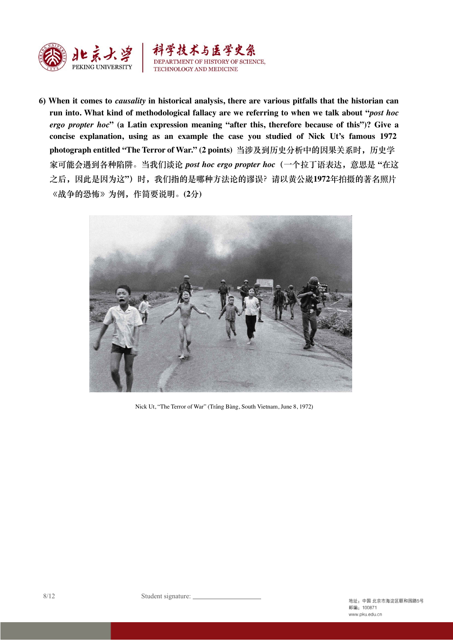

**6) When it comes to** *causality* **in historical analysis, there are various pitfalls that the historian can run into. What kind of methodological fallacy are we referring to when we talk about "***post hoc ergo propter hoc***" (a Latin expression meaning "after this, therefore because of this")? Give a concise explanation, using as an example the case you studied of Nick Ut's famous 1972 photograph entitled "The Terror of War." (2 points) 当涉及到历史分析中的因果关系时,历史学 家可能会遇到各种陷阱。当我们谈论** *post hoc ergo propter hoc***(⼀个拉丁语表达,意思是 "在这 之后,因此是因为这")时,我们指的是哪种⽅法论的谬误?请以黄公崴1972年拍摄的著名照⽚ 《战争的恐怖》为例,作简要说明。(2分)**

支术与医学史条 DEPARTMENT OF HISTORY OF SCIENCE.



Nick Ut, "The Terror of War" (Trảng Bàng, South Vietnam, June 8, 1972)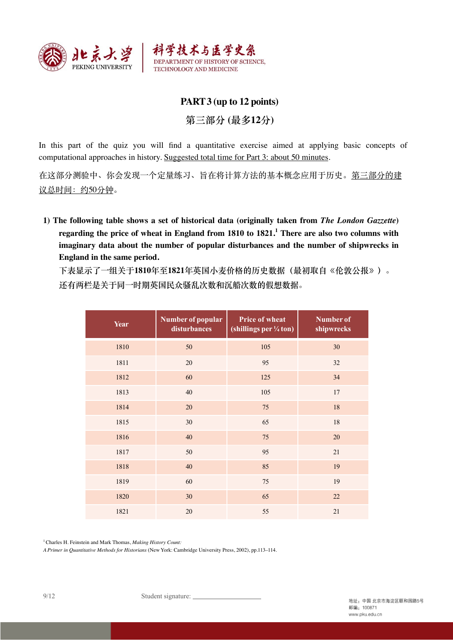



### **PART3 (up to 12 points)**

**第三部分 (最多12分)**

In this part of the quiz you will find a quantitative exercise aimed at applying basic concepts of computational approaches in history. Suggested total time for Part 3: about 50 minutes.

在这部分测验中、你会发现一个定量练习、旨在将计算方法的基本概念应用于历史。第三部分的建 议总时间:约50分钟。

**1) The following table shows a set of historical data (originally taken from** *The London Gazzette***) regarding the price of wheat in England from 1810 to 1821.<sup>1</sup> There are also two columns with imaginary data about the number of popular disturbances and the number of shipwrecks in England in the same period.** 

下表显示了一组关于1810年至1821年英国小麦价格的历史数据(最初取自《伦敦公报》)。 还有两栏是关于同一时期英国民众骚乱次数和沉船次数的假想数据。

| Year | Number of popular<br>disturbances | Price of wheat<br>(shillings per $\frac{1}{4}$ ton) | Number of<br>shipwrecks |
|------|-----------------------------------|-----------------------------------------------------|-------------------------|
| 1810 | 50                                | 105                                                 | 30                      |
| 1811 | 20                                | 95                                                  | 32                      |
| 1812 | 60                                | 125                                                 | 34                      |
| 1813 | 40                                | 105                                                 | 17                      |
| 1814 | 20                                | 75                                                  | 18                      |
| 1815 | 30                                | 65                                                  | 18                      |
| 1816 | 40                                | 75                                                  | 20                      |
| 1817 | 50                                | 95                                                  | 21                      |
| 1818 | 40                                | 85                                                  | 19                      |
| 1819 | 60                                | 75                                                  | 19                      |
| 1820 | 30                                | 65                                                  | 22                      |
| 1821 | 20                                | 55                                                  | 21                      |

<sup>1</sup> Charles H. Feinstein and Mark Thomas, *Making History Count:*

*A Primer in Quantitative Methods for Historians* (New York: Cambridge University Press, 2002), pp.113–114.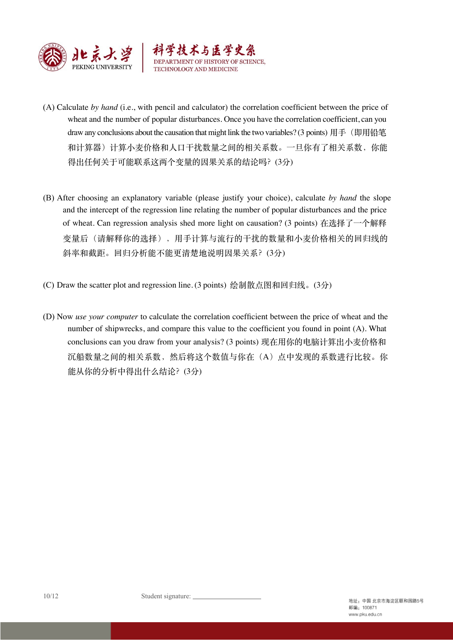



DEPARTMENT OF HISTORY OF SCIENCE.

- (B) After choosing an explanatory variable (please justify your choice), calculate *by hand* the slope and the intercept of the regression line relating the number of popular disturbances and the price of wheat. Can regression analysis shed more light on causation? (3 points) 在选择了一个解释 变量后(请解释你的选择),用手计算与流行的干扰的数量和小麦价格相关的回归线的 斜率和截距。回归分析能不能更清楚地说明因果关系?(3分)
- (C) Draw the scatter plot and regression line. (3 points) 绘制散点图和回归线。(3分)
- (D) Now *use your computer* to calculate the correlation coefficient between the price of wheat and the number of shipwrecks, and compare this value to the coefficient you found in point (A). What conclusions can you draw from your analysis? (3 points) 现在用你的电脑计算出小麦价格和 沉船数量之间的相关系数,然后将这个数值与你在(A)点中发现的系数进行比较。你 能从你的分析中得出什么结论?(3分)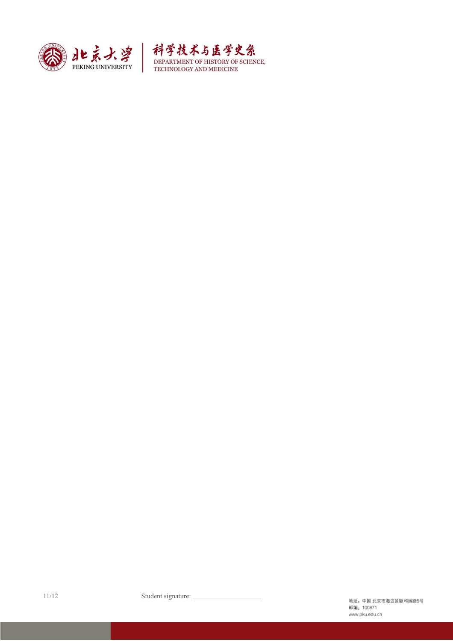